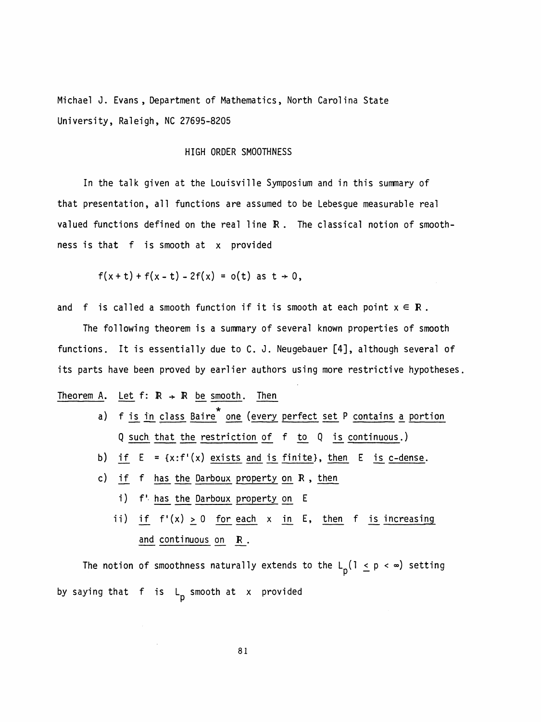Michael J. Evans, Department of Mathematics, North Carolina State University, Raleigh, NC 27695-8205

## HIGH ORDER SMOOTHNESS

 In the talk given at the Louisville Symposium and in this summary of that presentation, all functions are assumed to be Lebesgue measurable real valued functions defined on the real line R. The classical notion of smooth ness is that f is smooth at x provided

$$
f(x + t) + f(x - t) - 2f(x) = o(t)
$$
 as  $t \to 0$ ,

and f is called a smooth function if it is smooth at each point  $x \in \mathbb{R}$ .

 The following theorem is a summary of several known properties of smooth functions. It is essentially due to C. J. Neugebauer [4], although several of its parts have been proved by earlier authors using more restrictive hypotheses.

## Theorem A. Let  $f: \mathbb{R} \rightarrow \mathbb{R}$  be smooth. Then

- a) f is in class Baire<sup>\*</sup> one (every perfect set P contains a portion Q such that the restriction of f to Q is continuous . )
- b) if  $E = {x : f'(x) \text{ exists and is finite}},$  then E is c-dense.
- c) if f has the Darboux property on R , then
	- i) f' has the Darboux property on E
	- ii) if  $f'(x) \ge 0$  for each x in E, then f is increasing and continuous on R .

The notion of smoothness naturally extends to the  $L_p(1 \le p \le \infty)$  setting by saying that f is L<sub>p</sub> smooth at x provided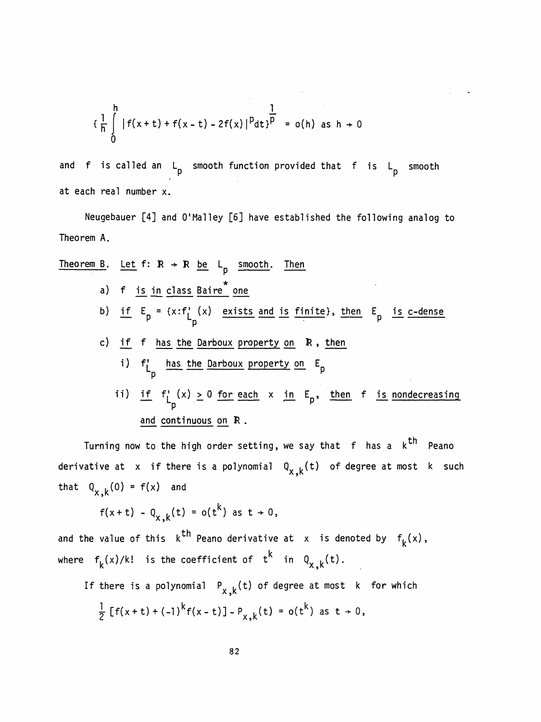$$
\{\frac{1}{h}\int_{0}^{h} |f(x+t)+f(x-t)-2f(x)|^{p}dt\}^{\frac{1}{p}} = o(h) \text{ as } h \to 0
$$

and f is called an L<sub>n</sub> smooth function provided that f is L<sub>n</sub> smooth  $(x - t) - 2f(x)|^p dt$ <sup>p</sup> = o(h) as h + 0<br>p smooth function provided that f is L<sub>p</sub> at each real number x.

 Neugebauer [4] and 0' Mal ley [6] have established the following analog to Theorem A.

Theorem A.

\nTheorem B. Let 
$$
f: R \rightarrow R
$$
 be  $L_p$  smooth. Then

\na)  $f$  is in class Baire<sup>\*</sup> one

\nb) if  $E_p = \{x : f'_L(x) \text{ exists and is finite}\}, \text{ then } E_p \text{ is c-dense}$ 

\nc) if  $f$  has the Darboux property on  $R$ , then

\ni)  $f'_L_p$  has the Darboux property on  $E_p$ 

\nii) if  $f'_L(x) \geq 0$  for each  $x$  in  $E_p$ , then  $f$  is nondecreasing and continuous on  $R$ .

Turning now to the high order setting, we say that  $f$  has a  $k^{th}$  Peano derivative at x if there is a polynomial  $Q_{x,k}(t)$  of degree at most k such that  $Q_{x, k}(0) = f(x)$  and

$$
f(x + t) - Q_{x,k}(t) = o(t^k)
$$
 as  $t \to 0$ ,

т.n and the value of this  $\kappa$  really derivative at  $\kappa$  is denoted where  $f_k(x)/k!$  is the coefficient of  $t^k$  in  $Q_{x,k}(t)$ .

If there is a polynomial  $P_{x, k}(t)$  of degree at most k for which

$$
\frac{1}{2}[f(x+t)+(-1)^{k}f(x-t)] - P_{x,k}(t) = o(t^{k}) \text{ as } t \to 0,
$$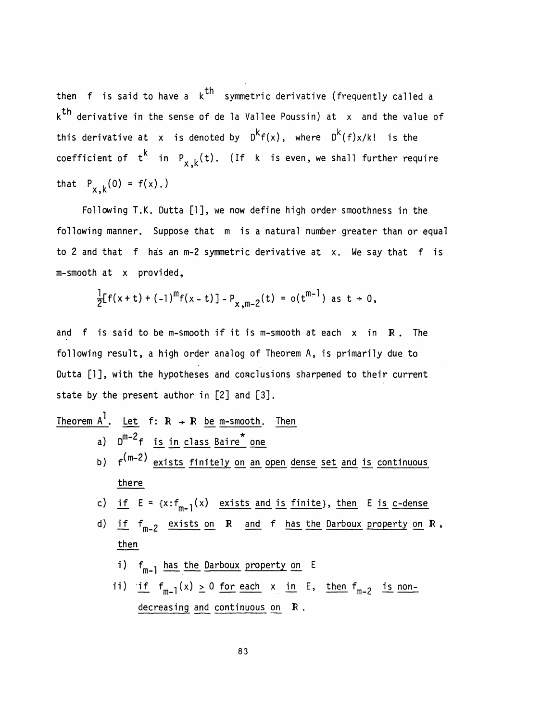then f is said to have a  $k^{th}$  symmetric derivative (frequently called a k<sup>th</sup> derivative in the sense of de la Vallee Poussin) at  $\,$  and the value of k<sup>th</sup> derivative in the sense of de la Vallee Poussin) at x and the val<br>this derivative at x is denoted by D<sup>k</sup>f(x), where D<sup>k</sup>(f)x/k! is the coefficient of  $\;$  t $\dot{ } \;$  in  $\;$  P $_{\sf x \, ,k}$ (t). (If  $\;$  k  $\;$  is even, we shall further require that  $P_{x,k}(0) = f(x)$ .)

 Following T.K. Dutta [1], we now define high order smoothness in the following manner. Suppose that m is a natural number greater than or equal to 2 and that f has an m-2 symmetric derivative at x. We say that f is m- smooth at x provided,

$$
\frac{1}{2}[f(x+t)+(-1)^{m}f(x-t)] - P_{x,m-2}(t) = o(t^{m-1}) \text{ as } t \to 0,
$$

and  $f$  is said to be m-smooth if it is m-smooth at each  $x$  in  $R$ . The following result, a high order analog of Theorem A, is primarily due to Dutta [1], with the hypotheses and conclusions sharpened to their current state by the present author in [2] and [3].

| Theorem A <sup>1</sup> . Let $f: R \rightarrow R$ be m-smooth. Then                                       |                                                                                   |
|-----------------------------------------------------------------------------------------------------------|-----------------------------------------------------------------------------------|
| a) $D^{m-2}f$ is in class Baire <sup>*</sup> one                                                          |                                                                                   |
| b) $f^{(m-2)}$ exists finitely on an open dense set and is continuous                                     |                                                                                   |
| there                                                                                                     | c) if $E = \{x : f_{m-1}(x) \text{ exists and is finite}\}$ , then $E$ is c-dense |
| d) if $f_{m-2}$ exists on $R$ and $f$ has the Darboux property on $R$ ,                                   |                                                                                   |
| then                                                                                                      | i) $f_{m-1}$ has the Darboux property on $E$                                      |
| ii) if $f_{m-1}(x) \geq 0$ for each $x$ in $E$ , then $f_{m-2}$ is non-decreasing and continuous on $R$ . |                                                                                   |